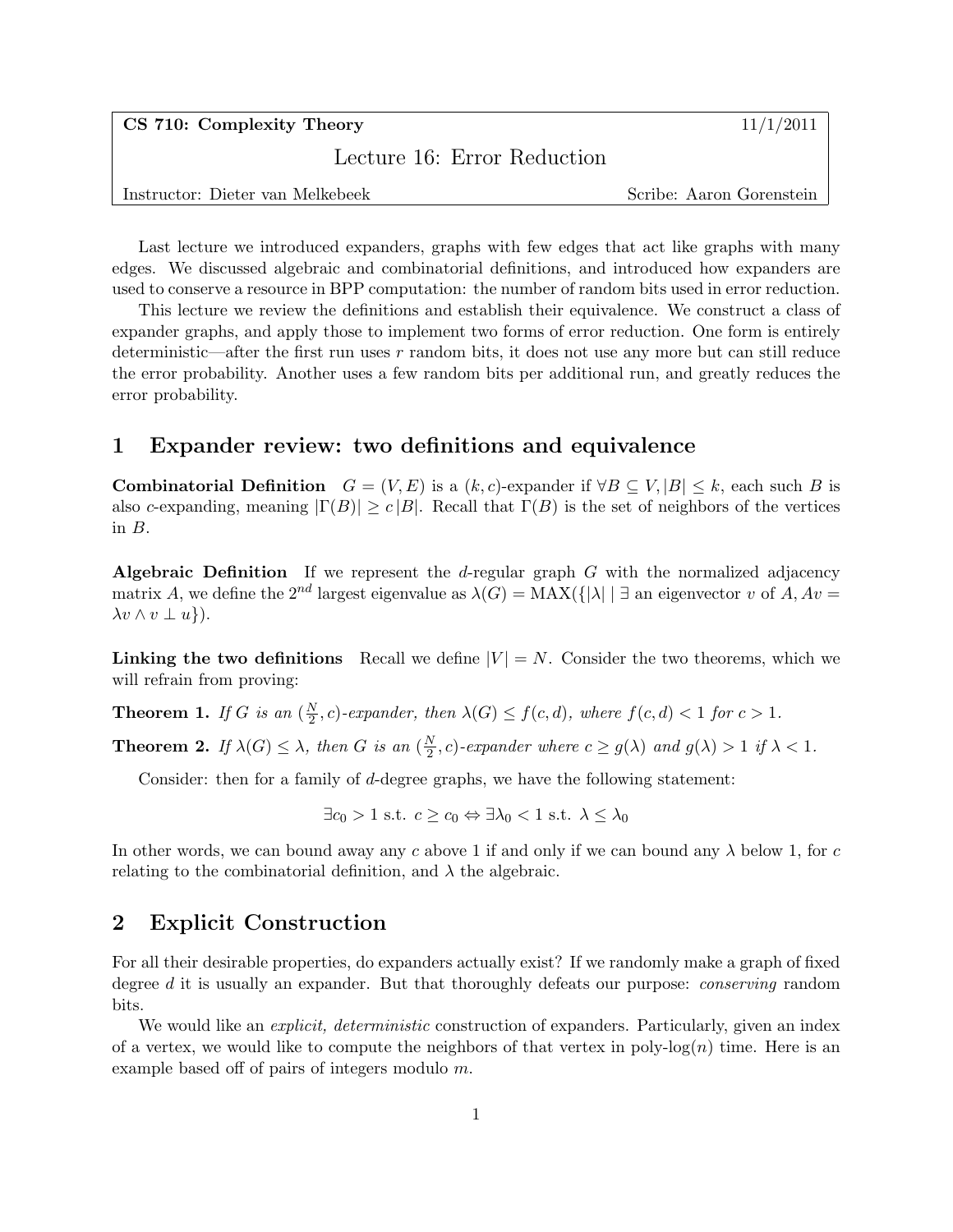$\text{CS } 710: \text{ Complexity Theory}$  11/1/2011

Lecture 16: Error Reduction

Instructor: Dieter van Melkebeek Scribe: Aaron Gorenstein

Last lecture we introduced expanders, graphs with few edges that act like graphs with many edges. We discussed algebraic and combinatorial definitions, and introduced how expanders are used to conserve a resource in BPP computation: the number of random bits used in error reduction.

This lecture we review the definitions and establish their equivalence. We construct a class of expander graphs, and apply those to implement two forms of error reduction. One form is entirely deterministic—after the first run uses r random bits, it does not use any more but can still reduce the error probability. Another uses a few random bits per additional run, and greatly reduces the error probability.

# 1 Expander review: two definitions and equivalence

**Combinatorial Definition**  $G = (V, E)$  is a  $(k, c)$ -expander if  $\forall B \subseteq V, |B| \leq k$ , each such B is also c-expanding, meaning  $|\Gamma(B)| \ge c |B|$ . Recall that  $\Gamma(B)$  is the set of neighbors of the vertices in B.

Algebraic Definition If we represent the d-regular graph  $G$  with the normalized adjacency matrix A, we define the  $2^{nd}$  largest eigenvalue as  $\lambda(G) = MAX(\{| \lambda | \cdot | \exists \text{ an eigenvector } v \text{ of } A, Av = \emptyset \}$  $\lambda v \wedge v \perp u$ .

Linking the two definitions Recall we define  $|V| = N$ . Consider the two theorems, which we will refrain from proving:

**Theorem 1.** If G is an  $\left(\frac{N}{2}\right)$  $\frac{N}{2}$ , c)-expander, then  $\lambda(G) \le f(c,d)$ , where  $f(c,d) < 1$  for  $c > 1$ .

**Theorem 2.** If  $\lambda(G) \leq \lambda$ , then G is an  $\left(\frac{N}{2}\right)$  $\frac{N}{2}$ , c)-expander where  $c \geq g(\lambda)$  and  $g(\lambda) > 1$  if  $\lambda < 1$ .

Consider: then for a family of d-degree graphs, we have the following statement:

 $\exists c_0 > 1 \text{ s.t. } c > c_0 \Leftrightarrow \exists \lambda_0 < 1 \text{ s.t. } \lambda \leq \lambda_0$ 

In other words, we can bound away any c above 1 if and only if we can bound any  $\lambda$  below 1, for c relating to the combinatorial definition, and  $\lambda$  the algebraic.

# 2 Explicit Construction

For all their desirable properties, do expanders actually exist? If we randomly make a graph of fixed degree d it is usually an expander. But that thoroughly defeats our purpose: *conserving* random bits.

We would like an *explicit, deterministic* construction of expanders. Particularly, given an index of a vertex, we would like to compute the neighbors of that vertex in poly- $log(n)$  time. Here is an example based off of pairs of integers modulo m.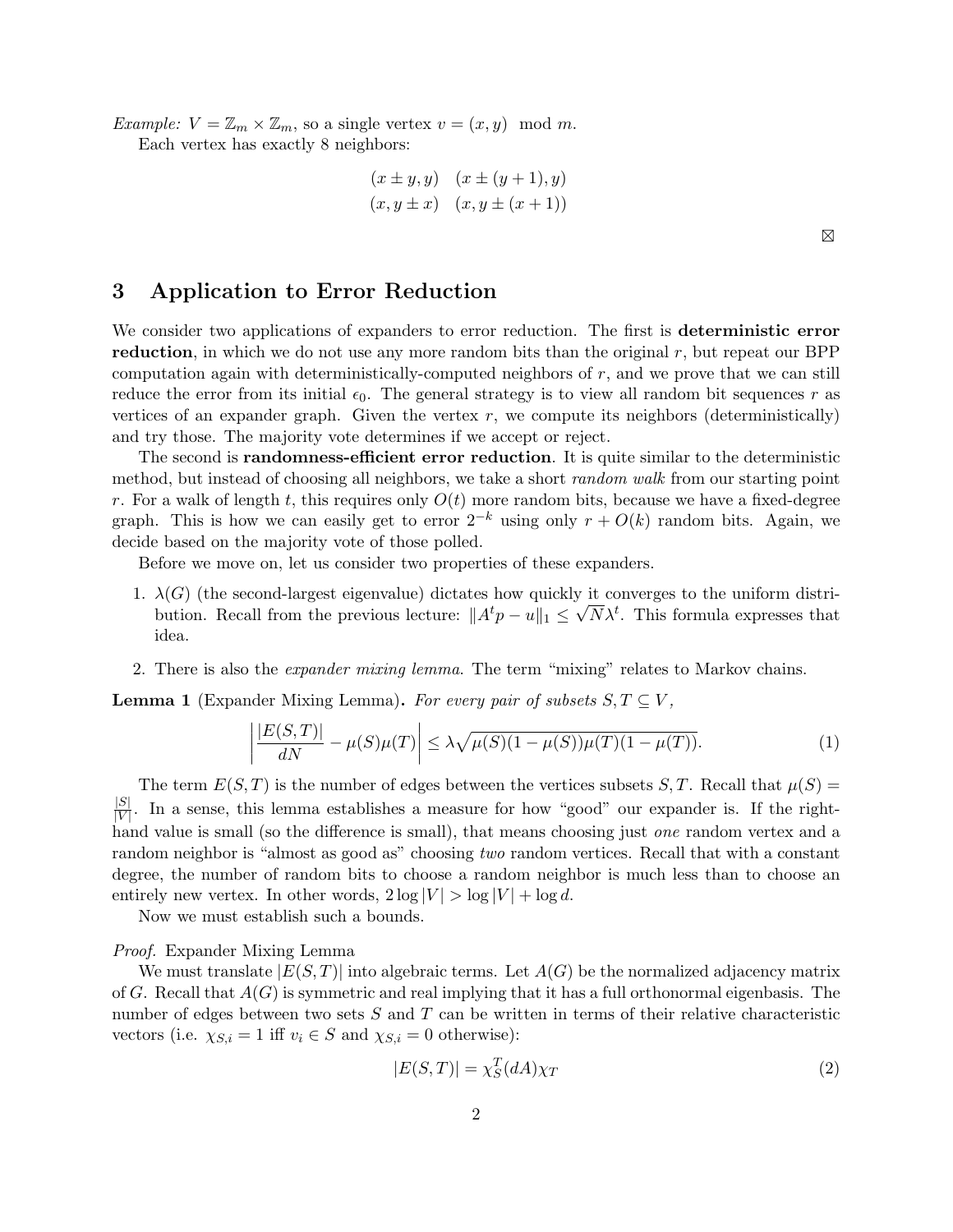*Example:*  $V = \mathbb{Z}_m \times \mathbb{Z}_m$ , so a single vertex  $v = (x, y) \mod m$ . Each vertex has exactly 8 neighbors:

$$
(x \pm y, y)
$$
  $(x \pm (y + 1), y)$   
\n $(x, y \pm x)$   $(x, y \pm (x + 1))$ 

## 3 Application to Error Reduction

We consider two applications of expanders to error reduction. The first is **deterministic error** reduction, in which we do not use any more random bits than the original  $r$ , but repeat our BPP computation again with deterministically-computed neighbors of  $r$ , and we prove that we can still reduce the error from its initial  $\epsilon_0$ . The general strategy is to view all random bit sequences r as vertices of an expander graph. Given the vertex  $r$ , we compute its neighbors (deterministically) and try those. The majority vote determines if we accept or reject.

The second is randomness-efficient error reduction. It is quite similar to the deterministic method, but instead of choosing all neighbors, we take a short *random walk* from our starting point r. For a walk of length t, this requires only  $O(t)$  more random bits, because we have a fixed-degree graph. This is how we can easily get to error  $2^{-k}$  using only  $r + O(k)$  random bits. Again, we decide based on the majority vote of those polled.

Before we move on, let us consider two properties of these expanders.

- 1.  $\lambda(G)$  (the second-largest eigenvalue) dictates how quickly it converges to the uniform distribution. Recall from the previous lecture:  $||A^t p - u||_1 \leq \sqrt{N} \lambda^t$ . This formula expresses that idea.
- 2. There is also the expander mixing lemma. The term "mixing" relates to Markov chains.

**Lemma 1** (Expander Mixing Lemma). For every pair of subsets  $S, T \subseteq V$ ,

$$
\left| \frac{|E(S,T)|}{dN} - \mu(S)\mu(T) \right| \le \lambda \sqrt{\mu(S)(1-\mu(S))\mu(T)(1-\mu(T))}.
$$
 (1)

The term  $E(S,T)$  is the number of edges between the vertices subsets  $S, T$ . Recall that  $\mu(S)$  =  $|S|$  $\frac{|\mathcal{S}|}{|V|}$ . In a sense, this lemma establishes a measure for how "good" our expander is. If the righthand value is small (so the difference is small), that means choosing just *one* random vertex and a random neighbor is "almost as good as" choosing two random vertices. Recall that with a constant degree, the number of random bits to choose a random neighbor is much less than to choose an entirely new vertex. In other words,  $2 \log |V| > \log |V| + \log d$ .

Now we must establish such a bounds.

#### Proof. Expander Mixing Lemma

We must translate  $|E(S,T)|$  into algebraic terms. Let  $A(G)$  be the normalized adjacency matrix of G. Recall that  $A(G)$  is symmetric and real implying that it has a full orthonormal eigenbasis. The number of edges between two sets  $S$  and  $T$  can be written in terms of their relative characteristic vectors (i.e.  $\chi_{S,i} = 1$  iff  $v_i \in S$  and  $\chi_{S,i} = 0$  otherwise):

$$
|E(S,T)| = \chi_S^T(dA)\chi_T
$$
\n(2)

 $\boxtimes$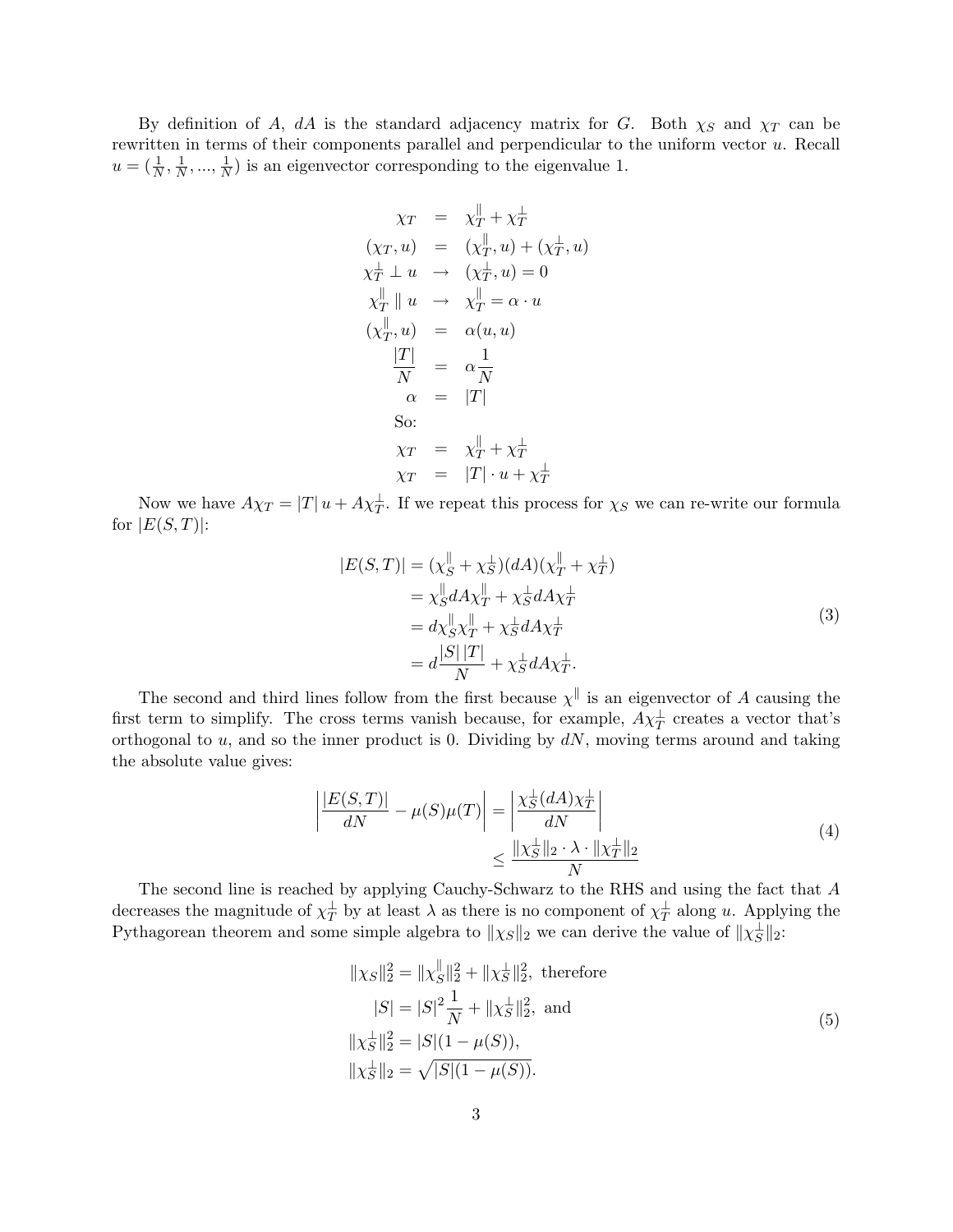By definition of A, dA is the standard adjacency matrix for G. Both  $\chi_S$  and  $\chi_T$  can be rewritten in terms of their components parallel and perpendicular to the uniform vector u. Recall  $u=(\frac{1}{N},\frac{1}{N})$  $\frac{1}{N},...,\frac{1}{N}$  $\frac{1}{N}$ ) is an eigenvector corresponding to the eigenvalue 1.

$$
\chi_T = \chi_T^{\parallel} + \chi_T^{\perp}
$$
  
\n
$$
(\chi_T, u) = (\chi_T^{\parallel}, u) + (\chi_T^{\perp}, u)
$$
  
\n
$$
\chi_T^{\perp} \perp u \rightarrow (\chi_T^{\perp}, u) = 0
$$
  
\n
$$
\chi_T^{\parallel} \parallel u \rightarrow \chi_T^{\parallel} = \alpha \cdot u
$$
  
\n
$$
(\chi_T^{\parallel}, u) = \alpha(u, u)
$$
  
\n
$$
\frac{|T|}{N} = \alpha \frac{1}{N}
$$
  
\n
$$
\alpha = |T|
$$
  
\nSo:  
\n
$$
\chi_T = \chi_T^{\parallel} + \chi_T^{\perp}
$$
  
\n
$$
\chi_T = |T| \cdot u + \chi_T^{\perp}
$$

Now we have  $A\chi_T = |T|u + A\chi_T^{\perp}$ . If we repeat this process for  $\chi_S$  we can re-write our formula for  $|E(S,T)|$ :

$$
|E(S,T)| = (\chi_S^{\parallel} + \chi_S^{\perp})(dA)(\chi_T^{\parallel} + \chi_T^{\perp})
$$
  
\n
$$
= \chi_S^{\parallel} dA \chi_T^{\parallel} + \chi_S^{\perp} dA \chi_T^{\perp}
$$
  
\n
$$
= d\chi_S^{\parallel} \chi_T^{\parallel} + \chi_S^{\perp} dA \chi_T^{\perp}
$$
  
\n
$$
= d\frac{|S||T|}{N} + \chi_S^{\perp} dA \chi_T^{\perp}.
$$
\n(3)

The second and third lines follow from the first because  $\chi^{\parallel}$  is an eigenvector of A causing the first term to simplify. The cross terms vanish because, for example,  $A\chi_T^{\perp}$  creates a vector that's orthogonal to  $u$ , and so the inner product is 0. Dividing by  $dN$ , moving terms around and taking the absolute value gives:

$$
\left| \frac{|E(S,T)|}{dN} - \mu(S)\mu(T) \right| = \left| \frac{\chi_S^{\perp}(dA)\chi_T^{\perp}}{dN} \right|
$$
  

$$
\leq \frac{\|\chi_S^{\perp}\|_2 \cdot \lambda \cdot \|\chi_T^{\perp}\|_2}{N}
$$
(4)

The second line is reached by applying Cauchy-Schwarz to the RHS and using the fact that A decreases the magnitude of  $\chi_T^{\perp}$  by at least  $\lambda$  as there is no component of  $\chi_T^{\perp}$  along u. Applying the Pythagorean theorem and some simple algebra to  $\|\chi_S\|_2$  we can derive the value of  $\|\chi_S^{\perp}\|_2$ :

$$
||\chi_S||_2^2 = ||\chi_S^{\parallel}||_2^2 + ||\chi_S^{\perp}||_2^2, \text{ therefore}
$$
  
\n
$$
|S| = |S|^2 \frac{1}{N} + ||\chi_S^{\perp}||_2^2, \text{ and}
$$
  
\n
$$
||\chi_S^{\perp}||_2^2 = |S|(1 - \mu(S)),
$$
  
\n
$$
||\chi_S^{\perp}||_2 = \sqrt{|S|(1 - \mu(S))}.
$$
  
\n(5)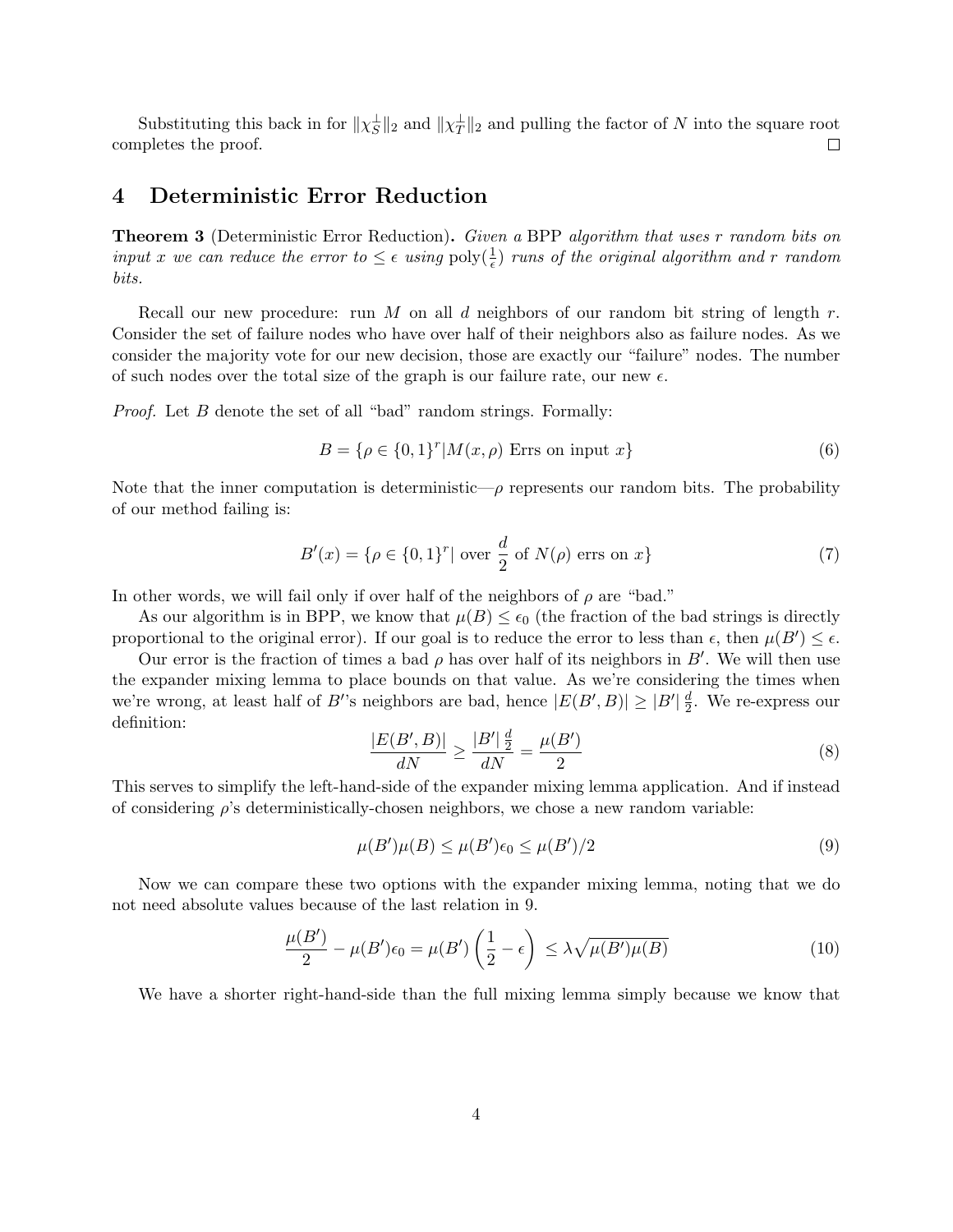Substituting this back in for  $\|\chi_{S}^{\perp}\|_2$  and  $\|\chi_{T}^{\perp}\|_2$  and pulling the factor of N into the square root completes the proof.  $\Box$ 

### 4 Deterministic Error Reduction

**Theorem 3** (Deterministic Error Reduction). Given a BPP algorithm that uses r random bits on input x we can reduce the error to  $\leq \epsilon$  using  $\text{poly}(\frac{1}{\epsilon})$  runs of the original algorithm and r random bits.

Recall our new procedure: run M on all d neighbors of our random bit string of length  $r$ . Consider the set of failure nodes who have over half of their neighbors also as failure nodes. As we consider the majority vote for our new decision, those are exactly our "failure" nodes. The number of such nodes over the total size of the graph is our failure rate, our new  $\epsilon$ .

Proof. Let B denote the set of all "bad" random strings. Formally:

$$
B = \{ \rho \in \{0, 1\}^r | M(x, \rho) \text{ Errs on input } x \}
$$
\n
$$
(6)
$$

Note that the inner computation is deterministic— $\rho$  represents our random bits. The probability of our method failing is:

$$
B'(x) = \{ \rho \in \{0, 1\}^r | \text{ over } \frac{d}{2} \text{ of } N(\rho) \text{ errors on } x \}
$$
 (7)

In other words, we will fail only if over half of the neighbors of  $\rho$  are "bad."

As our algorithm is in BPP, we know that  $\mu(B) \leq \epsilon_0$  (the fraction of the bad strings is directly proportional to the original error). If our goal is to reduce the error to less than  $\epsilon$ , then  $\mu(B') \leq \epsilon$ .

Our error is the fraction of times a bad  $\rho$  has over half of its neighbors in B'. We will then use the expander mixing lemma to place bounds on that value. As we're considering the times when we're wrong, at least half of B''s neighbors are bad, hence  $|E(B', B)| \geq |B'| \frac{d}{2}$  $\frac{d}{2}$ . We re-express our definition:

$$
\frac{|E(B', B)|}{dN} \ge \frac{|B'| \frac{d}{2}}{dN} = \frac{\mu(B')}{2}
$$
\n(8)

This serves to simplify the left-hand-side of the expander mixing lemma application. And if instead of considering  $\rho$ 's deterministically-chosen neighbors, we chose a new random variable:

$$
\mu(B')\mu(B) \le \mu(B')\epsilon_0 \le \mu(B')/2\tag{9}
$$

Now we can compare these two options with the expander mixing lemma, noting that we do not need absolute values because of the last relation in 9.

$$
\frac{\mu(B')}{2} - \mu(B')\epsilon_0 = \mu(B')\left(\frac{1}{2} - \epsilon\right) \le \lambda \sqrt{\mu(B')\mu(B)}\tag{10}
$$

We have a shorter right-hand-side than the full mixing lemma simply because we know that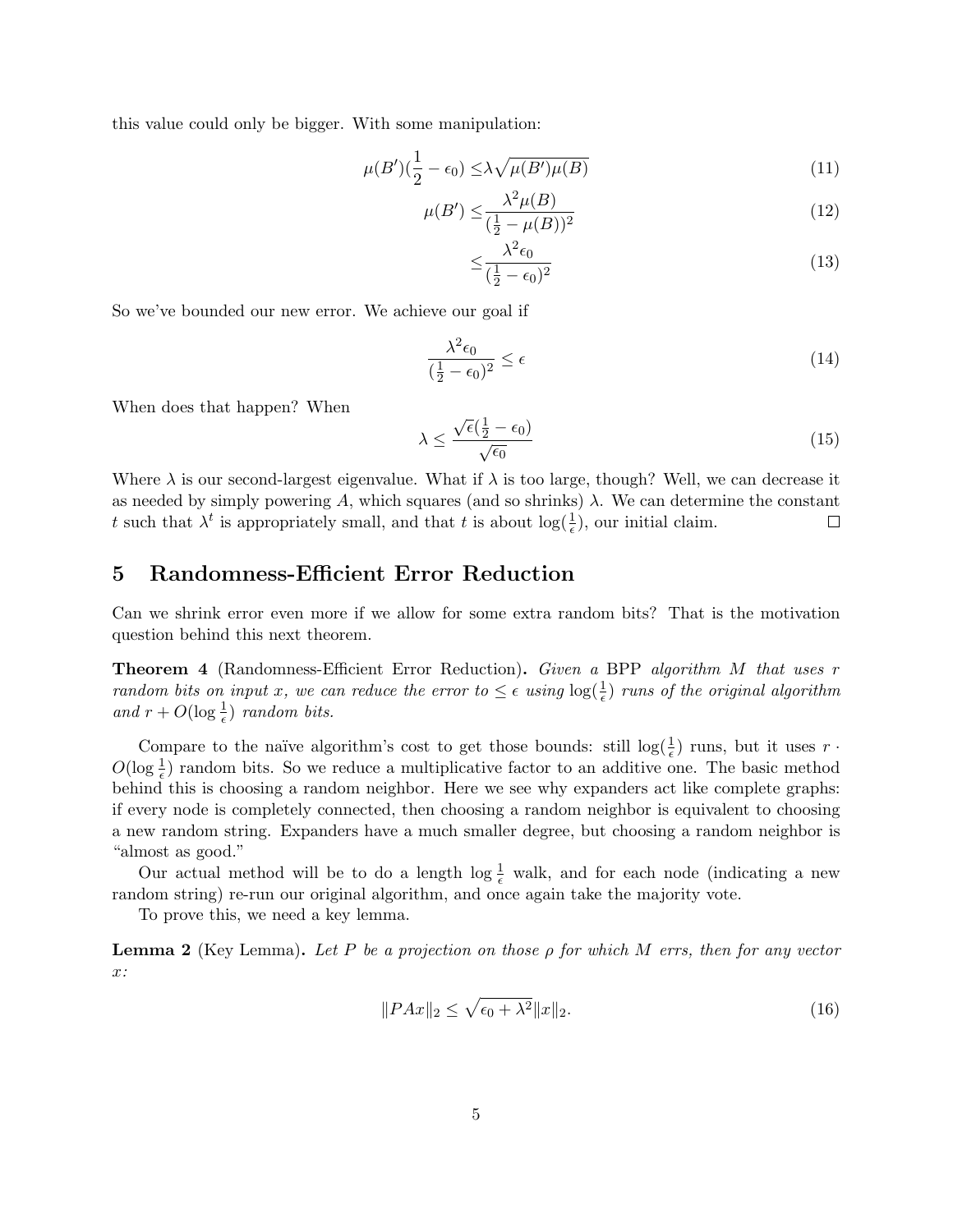this value could only be bigger. With some manipulation:

$$
\mu(B')\left(\frac{1}{2} - \epsilon_0\right) \le \lambda \sqrt{\mu(B')\mu(B)}\tag{11}
$$

$$
\mu(B') \le \frac{\lambda^2 \mu(B)}{(\frac{1}{2} - \mu(B))^2} \tag{12}
$$

$$
\leq \frac{\lambda^2 \epsilon_0}{(\frac{1}{2} - \epsilon_0)^2} \tag{13}
$$

So we've bounded our new error. We achieve our goal if

$$
\frac{\lambda^2 \epsilon_0}{\left(\frac{1}{2} - \epsilon_0\right)^2} \le \epsilon \tag{14}
$$

When does that happen? When

$$
\lambda \le \frac{\sqrt{\epsilon}(\frac{1}{2} - \epsilon_0)}{\sqrt{\epsilon_0}}\tag{15}
$$

Where  $\lambda$  is our second-largest eigenvalue. What if  $\lambda$  is too large, though? Well, we can decrease it as needed by simply powering A, which squares (and so shrinks)  $\lambda$ . We can determine the constant t such that  $\lambda^t$  is appropriately small, and that t is about  $\log(\frac{1}{\epsilon})$ , our initial claim.  $\Box$ 

## 5 Randomness-Efficient Error Reduction

Can we shrink error even more if we allow for some extra random bits? That is the motivation question behind this next theorem.

Theorem 4 (Randomness-Efficient Error Reduction). Given a BPP algorithm M that uses r random bits on input x, we can reduce the error to  $\leq \epsilon$  using  $\log(\frac{1}{\epsilon})$  runs of the original algorithm and  $r + O(\log \frac{1}{\epsilon})$  random bits.

Compare to the naïve algorithm's cost to get those bounds: still  $\log(\frac{1}{\epsilon})$  runs, but it uses r.  $O(\log \frac{1}{\epsilon})$  random bits. So we reduce a multiplicative factor to an additive one. The basic method behind this is choosing a random neighbor. Here we see why expanders act like complete graphs: if every node is completely connected, then choosing a random neighbor is equivalent to choosing a new random string. Expanders have a much smaller degree, but choosing a random neighbor is "almost as good."

Our actual method will be to do a length  $\log \frac{1}{\epsilon}$  walk, and for each node (indicating a new random string) re-run our original algorithm, and once again take the majority vote.

To prove this, we need a key lemma.

**Lemma 2** (Key Lemma). Let P be a projection on those  $\rho$  for which M errs, then for any vector x:

$$
||PAx||_2 \le \sqrt{\epsilon_0 + \lambda^2} ||x||_2. \tag{16}
$$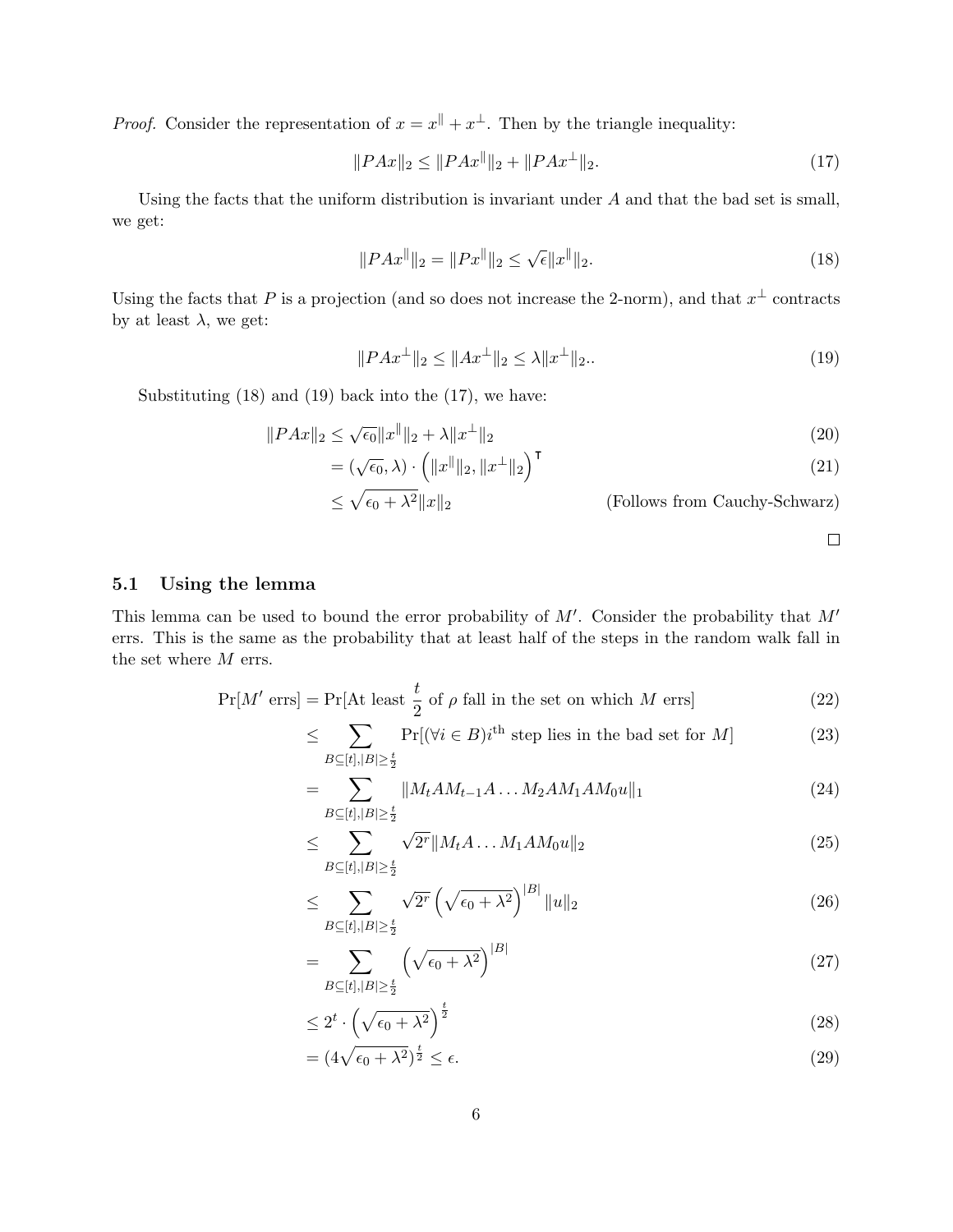*Proof.* Consider the representation of  $x = x^{\parallel} + x^{\perp}$ . Then by the triangle inequality:

$$
||PAx||_2 \le ||PAx||_2 + ||PAx^{\perp}||_2. \tag{17}
$$

Using the facts that the uniform distribution is invariant under A and that the bad set is small, we get:

$$
||PAx^{||}||_2 = ||Px^{||}||_2 \le \sqrt{\epsilon} ||x^{||}||_2.
$$
\n(18)

Using the facts that P is a projection (and so does not increase the 2-norm), and that  $x^{\perp}$  contracts by at least  $\lambda$ , we get:

$$
||PAx^{\perp}||_2 \le ||Ax^{\perp}||_2 \le \lambda ||x^{\perp}||_2. \tag{19}
$$

Substituting (18) and (19) back into the (17), we have:

$$
||PAx||_2 \le \sqrt{\epsilon_0} ||x^{\parallel}||_2 + \lambda ||x^{\perp}||_2
$$
\n(20)

$$
= (\sqrt{\epsilon_0}, \lambda) \cdot \left( \|x^{\parallel}\|_2, \|x^{\perp}\|_2 \right)^{\mathsf{T}} \tag{21}
$$

$$
\leq \sqrt{\epsilon_0 + \lambda^2} \|x\|_2
$$
 (Follows from Cauchy-Schwarz)

$$
\qquad \qquad \Box
$$

#### 5.1 Using the lemma

This lemma can be used to bound the error probability of  $M'$ . Consider the probability that  $M'$ errs. This is the same as the probability that at least half of the steps in the random walk fall in the set where  $M$  errs.

$$
\Pr[M' \text{ errs}] = \Pr[\text{At least } \frac{t}{2} \text{ of } \rho \text{ fall in the set on which } M \text{ errs}] \tag{22}
$$

$$
\leq \sum_{B \subseteq [t], |B| \ge \frac{t}{2}} \Pr[(\forall i \in B) i^{\text{th}} \text{ step lies in the bad set for } M] \tag{23}
$$

$$
= \sum_{B \subseteq [t], |B| \ge \frac{t}{2}} \|M_t A M_{t-1} A \dots M_2 A M_1 A M_0 u\|_1 \tag{24}
$$

$$
\leq \sum_{B \subseteq [t], |B| \geq \frac{t}{2}}^{\infty} \sqrt{2^r} \|M_t A \dots M_1 A M_0 u\|_2 \tag{25}
$$

$$
\leq \sum_{B \subseteq [t], |B| \geq \frac{t}{2}} \sqrt{2^r} \left( \sqrt{\epsilon_0 + \lambda^2} \right)^{|B|} \|u\|_2 \tag{26}
$$

$$
=\sum_{B\subseteq[t],|B|\ge\frac{t}{2}}\left(\sqrt{\epsilon_0+\lambda^2}\right)^{|B|}\tag{27}
$$

$$
\leq 2^t \cdot \left(\sqrt{\epsilon_0 + \lambda^2}\right)^{\frac{t}{2}} \tag{28}
$$

$$
= (4\sqrt{\epsilon_0 + \lambda^2})^{\frac{t}{2}} \le \epsilon.
$$
\n(29)